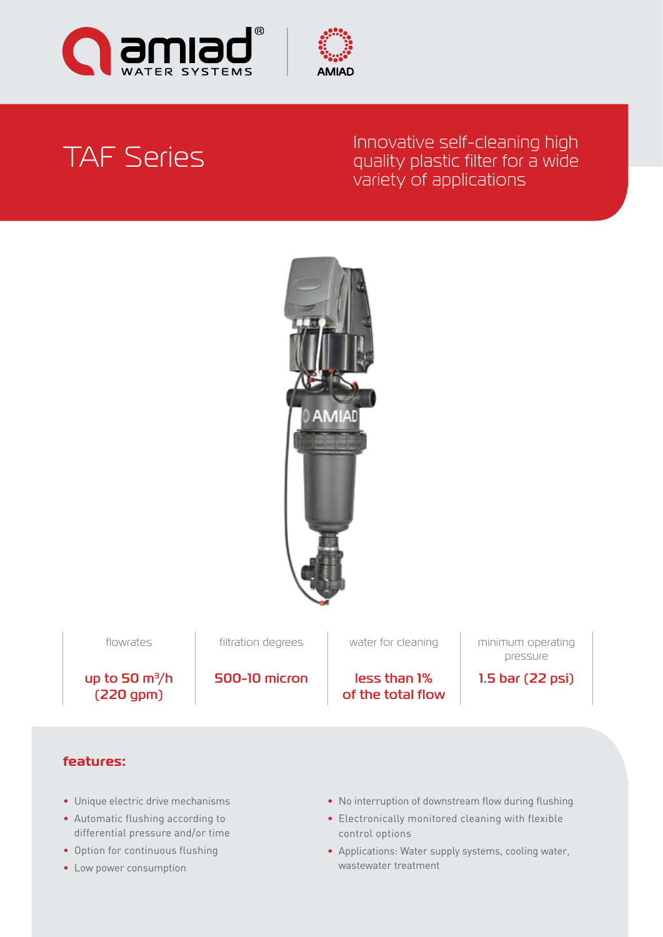



# TAF Series

# Innovative self-cleaning high quality plastic filter for a wide variety of applications



500-10 micron less than 1% of the total flow

flowrates **filtration degrees** water for cleaning minimum operating pressure

1.5 bar (22 psi)

up to 50 m<sup>3</sup>/h (220 gpm)

**features:**

- Unique electric drive mechanisms
- Automatic flushing according to differential pressure and/or time
- Option for continuous flushing
- Low power consumption
- No interruption of downstream flow during flushing
- Electronically monitored cleaning with flexible control options
- Applications: Water supply systems, cooling water, wastewater treatment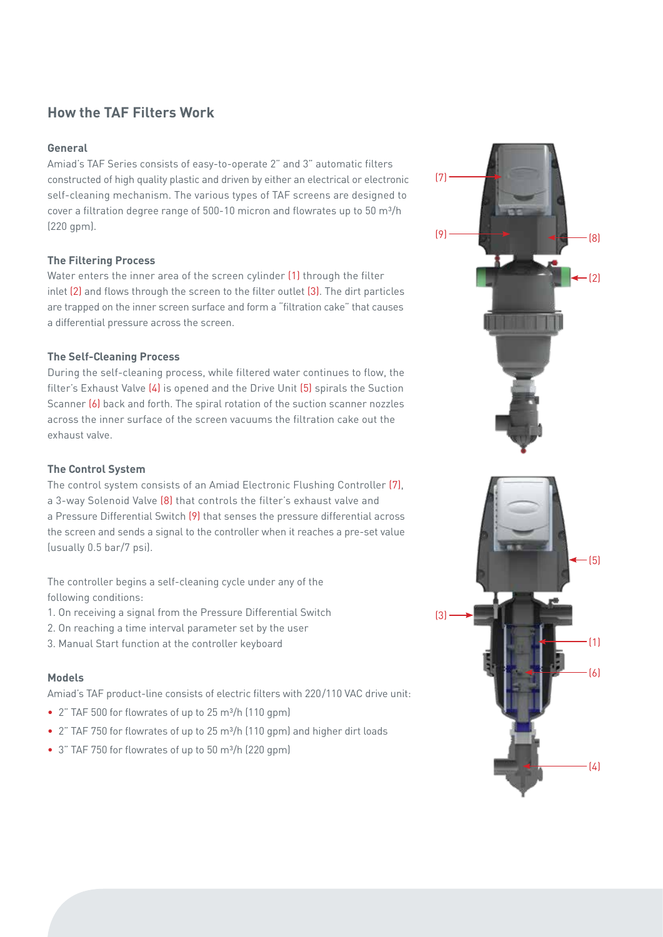# **How the TAF Filters Work**

#### **General**

Amiad's TAF Series consists of easy-to-operate 2" and 3" automatic filters constructed of high quality plastic and driven by either an electrical or electronic self-cleaning mechanism. The various types of TAF screens are designed to cover a filtration degree range of 500-10 micron and flowrates up to 50 m<sup>3</sup>/h (220 gpm).

### **The Filtering Process**

Water enters the inner area of the screen cylinder (1) through the filter inlet (2) and flows through the screen to the filter outlet (3). The dirt particles are trapped on the inner screen surface and form a "filtration cake" that causes a differential pressure across the screen.

### **The Self-Cleaning Process**

During the self-cleaning process, while filtered water continues to flow, the filter's Exhaust Valve (4) is opened and the Drive Unit (5) spirals the Suction Scanner (6) back and forth. The spiral rotation of the suction scanner nozzles across the inner surface of the screen vacuums the filtration cake out the exhaust valve.

#### **The Control System**

The control system consists of an Amiad Electronic Flushing Controller (7), a 3-way Solenoid Valve (8) that controls the filter's exhaust valve and a Pressure Differential Switch (9) that senses the pressure differential across the screen and sends a signal to the controller when it reaches a pre-set value (usually 0.5 bar/7 psi).

The controller begins a self-cleaning cycle under any of the following conditions:

- 1. On receiving a signal from the Pressure Differential Switch
- 2. On reaching a time interval parameter set by the user
- 3. Manual Start function at the controller keyboard

### **Models**

Amiad's TAF product-line consists of electric filters with 220/110 VAC drive unit:

- 2" TAF 500 for flowrates of up to 25 m³/h (110 gpm)
- 2" TAF 750 for flowrates of up to 25 m<sup>3</sup>/h (110 gpm) and higher dirt loads
- 3" TAF 750 for flowrates of up to 50 m³/h (220 gpm)

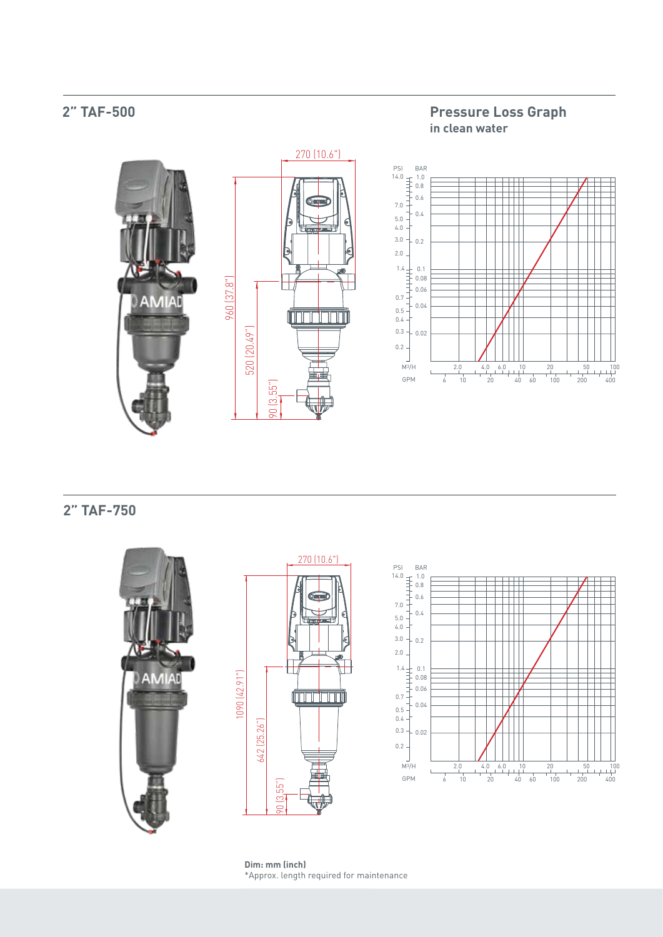#### **Pressure Loss Graph 2" TAF-500 in clean water** 270 (10.6") PSI BAR 14.0 1.0 0.8 0.6 7.0 0.4 5.0 4.0 3.0  $-0.2$ 2.0 1.4 0.1 960 (37.8") 0.08 0.06 **AMIAD** 0.7 0.04 0.5 **ANTIFICIAL PROPERTY** 0.4 520 (20.49") 0.3  $-0.02$ 0.2 M3/H  $\begin{array}{c|c}\n2.0 & 4.0 \\
\hline\n1 & 20\n\end{array}$ 20 6.0 10 50 100  $\frac{1}{100}$  $\overline{6}$  10 GPM 20 40 60 200 400 90 (3.55")

**2" TAF-750**







\*Approx. length required for maintenance **Dim: mm (inch)**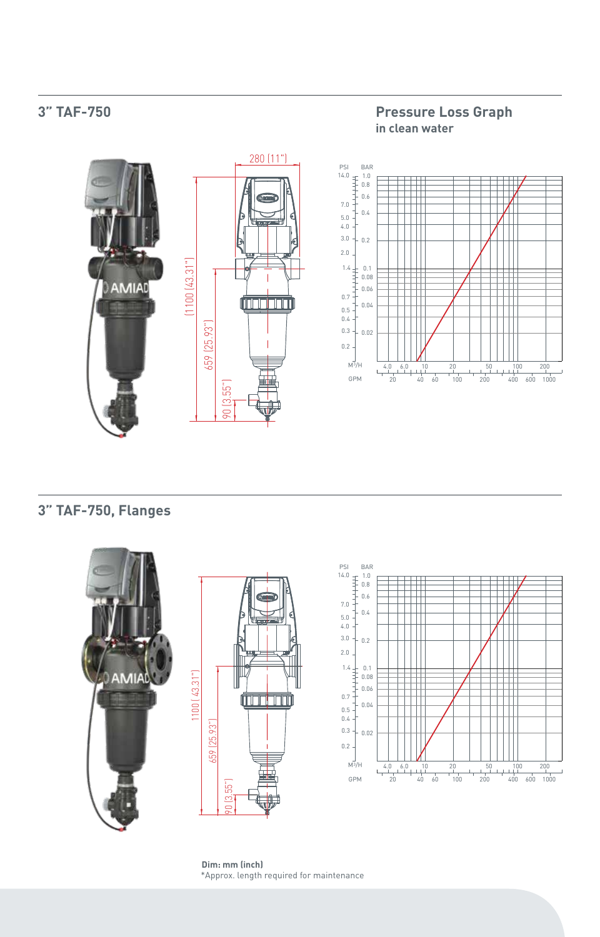# **3" TAF-750**

### **Pressure Loss Graph in clean water**





# **3" TAF-750, Flanges**



\*Approx. length required for maintenance **Dim: mm (inch)**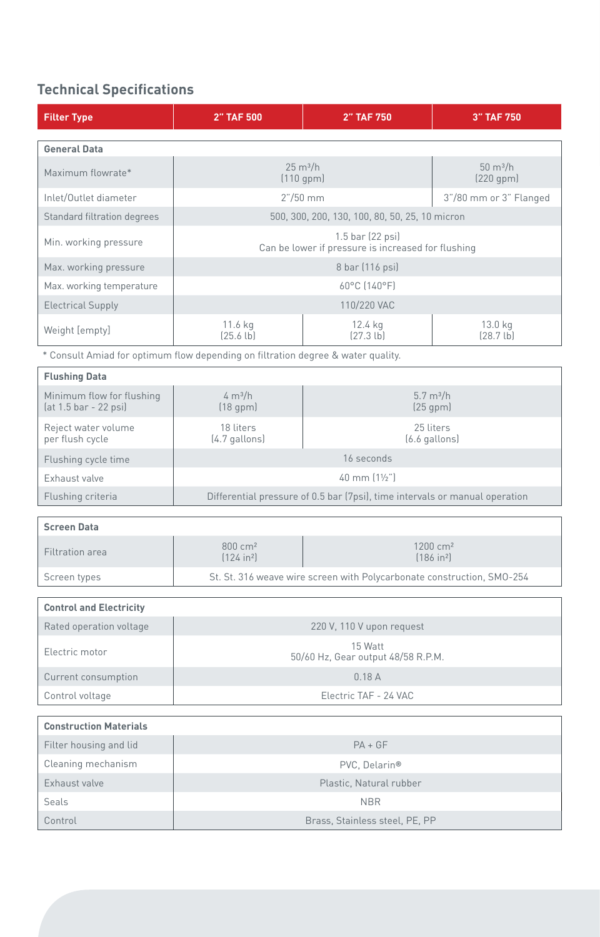# **Technical Specifications**

| <b>Filter Type</b>                                                               | <b>2" TAF 500</b>                                                           | <b>2" TAF 750</b>                              | <b>3" TAF 750</b>                    |
|----------------------------------------------------------------------------------|-----------------------------------------------------------------------------|------------------------------------------------|--------------------------------------|
| <b>General Data</b>                                                              |                                                                             |                                                |                                      |
| Maximum flowrate*                                                                | $25 \text{ m}^3/h$<br>(110 gpm)                                             |                                                | $50 \text{ m}^3/h$<br>$(220$ gpm $)$ |
| Inlet/Outlet diameter                                                            | $2''/50$ mm                                                                 |                                                | 3"/80 mm or 3" Flanged               |
| <b>Standard filtration degrees</b>                                               | 500, 300, 200, 130, 100, 80, 50, 25, 10 micron                              |                                                |                                      |
| Min. working pressure                                                            | 1.5 bar (22 psi)<br>Can be lower if pressure is increased for flushing      |                                                |                                      |
| Max. working pressure                                                            | 8 bar (116 psi)                                                             |                                                |                                      |
| Max. working temperature                                                         | 60°C (140°F)                                                                |                                                |                                      |
| <b>Electrical Supply</b>                                                         | 110/220 VAC                                                                 |                                                |                                      |
| Weight [empty]                                                                   | 11.6 kg<br>[25.6 lb]                                                        | 12.4 kg<br>(27.3 lb)                           | 13.0 kg<br>(28.7lb)                  |
| * Consult Amiad for optimum flow depending on filtration degree & water quality. |                                                                             |                                                |                                      |
| <b>Flushing Data</b>                                                             |                                                                             |                                                |                                      |
| Minimum flow for flushing<br>(at 1.5 bar - 22 psi)                               | 4 m <sup>3</sup> /h<br>(18 gpm)                                             | 5.7 m <sup>3</sup> /h<br>$(25$ gpm $)$         |                                      |
| Reject water volume<br>per flush cycle                                           | 18 liters<br>(4.7 gallons)                                                  | 25 liters<br>(6.6 gallons)                     |                                      |
| Flushing cycle time                                                              | 16 seconds                                                                  |                                                |                                      |
| Exhaust valve                                                                    | 40 mm (11/2")                                                               |                                                |                                      |
| Flushing criteria                                                                | Differential pressure of 0.5 bar (7psi), time intervals or manual operation |                                                |                                      |
| <b>Screen Data</b>                                                               |                                                                             |                                                |                                      |
| Filtration area                                                                  | 800 cm <sup>2</sup><br>(124 in <sup>2</sup> )                               | 1200 cm <sup>2</sup><br>(186 in <sup>2</sup> ) |                                      |
| Screen types                                                                     | St. St. 316 weave wire screen with Polycarbonate construction, SMO-254      |                                                |                                      |
| <b>Control and Electricity</b>                                                   |                                                                             |                                                |                                      |
| Rated operation voltage                                                          | 220 V, 110 V upon request                                                   |                                                |                                      |
|                                                                                  | 15 Watt                                                                     |                                                |                                      |
| Electric motor                                                                   | 50/60 Hz, Gear output 48/58 R.P.M.                                          |                                                |                                      |
| Current consumption                                                              | 0.18A                                                                       |                                                |                                      |
| Control voltage                                                                  | Electric TAF - 24 VAC                                                       |                                                |                                      |
| <b>Construction Materials</b>                                                    |                                                                             |                                                |                                      |
| Filter housing and lid                                                           | $PA + GF$                                                                   |                                                |                                      |
| Cleaning mechanism                                                               | PVC, Delarin®                                                               |                                                |                                      |
| Exhaust valve                                                                    | Plastic, Natural rubber                                                     |                                                |                                      |
| Seals                                                                            | <b>NBR</b>                                                                  |                                                |                                      |
| Control                                                                          | Brass, Stainless steel, PE, PP                                              |                                                |                                      |